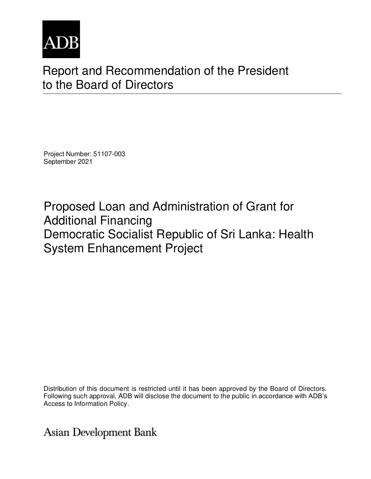

# Report and Recommendation of the President to the Board of Directors

Project Number: 51107-003 September 2021

Proposed Loan and Administration of Grant for Additional Financing Democratic Socialist Republic of Sri Lanka: Health System Enhancement Project

Distribution of this document is restricted until it has been approved by the Board of Directors. Following such approval, ADB will disclose the document to the public in accordance with ADB's Access to Information Policy.

Asian Development Bank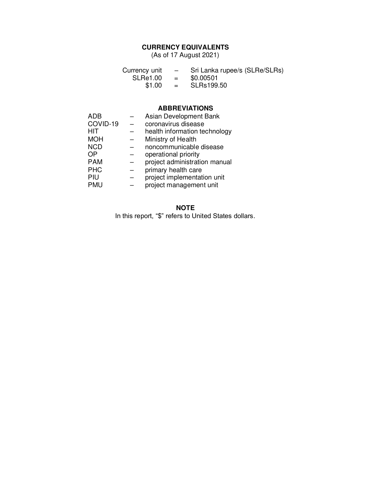#### **CURRENCY EQUIVALENTS**

(As of 17 August 2021)

| Currency unit   | $-$ | Sri Lanka rupee/s (SLRe/SLRs) |
|-----------------|-----|-------------------------------|
| <b>SLRe1.00</b> | $=$ | \$0.00501                     |
| \$1.00          | $=$ | SLRs199.50                    |

#### **ABBREVIATIONS**

| ADB        | Asian Development Bank        |
|------------|-------------------------------|
| COVID-19   | coronavirus disease           |
| <b>HIT</b> | health information technology |
| <b>MOH</b> | Ministry of Health            |
| <b>NCD</b> | noncommunicable disease       |
| OΡ         | operational priority          |
| <b>PAM</b> | project administration manual |
| <b>PHC</b> | primary health care           |
| PIU        | project implementation unit   |
| <b>PMU</b> | project management unit       |

### **NOTE**

In this report, "\$" refers to United States dollars.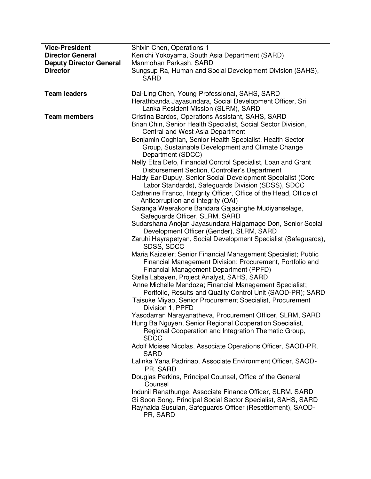| <b>Vice-President</b>          | Shixin Chen, Operations 1                                                     |
|--------------------------------|-------------------------------------------------------------------------------|
| <b>Director General</b>        | Kenichi Yokoyama, South Asia Department (SARD)                                |
| <b>Deputy Director General</b> | Manmohan Parkash, SARD                                                        |
| <b>Director</b>                | Sungsup Ra, Human and Social Development Division (SAHS),<br><b>SARD</b>      |
|                                |                                                                               |
| <b>Team leaders</b>            | Dai-Ling Chen, Young Professional, SAHS, SARD                                 |
|                                | Herathbanda Jayasundara, Social Development Officer, Sri                      |
|                                | Lanka Resident Mission (SLRM), SARD                                           |
| <b>Team members</b>            | Cristina Bardos, Operations Assistant, SAHS, SARD                             |
|                                | Brian Chin, Senior Health Specialist, Social Sector Division,                 |
|                                | Central and West Asia Department                                              |
|                                | Benjamin Coghlan, Senior Health Specialist, Health Sector                     |
|                                | Group, Sustainable Development and Climate Change<br>Department (SDCC)        |
|                                | Nelly Elza Defo, Financial Control Specialist, Loan and Grant                 |
|                                | Disbursement Section, Controller's Department                                 |
|                                | Haidy Ear-Dupuy, Senior Social Development Specialist (Core                   |
|                                | Labor Standards), Safeguards Division (SDSS), SDCC                            |
|                                | Catherine Franco, Integrity Officer, Office of the Head, Office of            |
|                                | Anticorruption and Integrity (OAI)                                            |
|                                | Saranga Weerakone Bandara Gajasinghe Mudiyanselage,                           |
|                                | Safeguards Officer, SLRM, SARD                                                |
|                                | Sudarshana Anojan Jayasundara Halgamage Don, Senior Social                    |
|                                | Development Officer (Gender), SLRM, SARD                                      |
|                                | Zaruhi Hayrapetyan, Social Development Specialist (Safeguards),<br>SDSS, SDCC |
|                                | Maria Kaizeler; Senior Financial Management Specialist; Public                |
|                                | Financial Management Division; Procurement, Portfolio and                     |
|                                | Financial Management Department (PPFD)                                        |
|                                | Stella Labayen, Project Analyst, SAHS, SARD                                   |
|                                | Anne Michelle Mendoza; Financial Management Specialist;                       |
|                                | Portfolio, Results and Quality Control Unit (SAOD-PR); SARD                   |
|                                | Taisuke Miyao, Senior Procurement Specialist, Procurement                     |
|                                | Division 1, PPFD<br>Yasodarran Narayanatheva, Procurement Officer, SLRM, SARD |
|                                | Hung Ba Nguyen, Senior Regional Cooperation Specialist,                       |
|                                | Regional Cooperation and Integration Thematic Group,                          |
|                                | <b>SDCC</b>                                                                   |
|                                | Adolf Moises Nicolas, Associate Operations Officer, SAOD-PR,<br><b>SARD</b>   |
|                                | Lalinka Yana Padrinao, Associate Environment Officer, SAOD-                   |
|                                | PR, SARD                                                                      |
|                                | Douglas Perkins, Principal Counsel, Office of the General<br>Counsel          |
|                                | Indunil Ranathunge, Associate Finance Officer, SLRM, SARD                     |
|                                | Gi Soon Song, Principal Social Sector Specialist, SAHS, SARD                  |
|                                | Rayhalda Susulan, Safeguards Officer (Resettlement), SAOD-                    |
|                                | PR, SARD                                                                      |
|                                |                                                                               |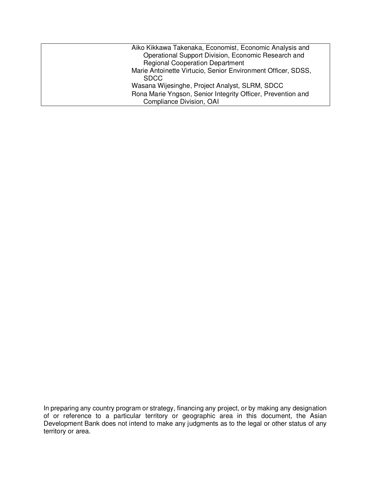| Aiko Kikkawa Takenaka, Economist, Economic Analysis and                     |
|-----------------------------------------------------------------------------|
| Operational Support Division, Economic Research and                         |
| <b>Regional Cooperation Department</b>                                      |
| Marie Antoinette Virtucio, Senior Environment Officer, SDSS,<br><b>SDCC</b> |
| Wasana Wijesinghe, Project Analyst, SLRM, SDCC                              |
| Rona Marie Yngson, Senior Integrity Officer, Prevention and                 |
| Compliance Division, OAI                                                    |

In preparing any country program or strategy, financing any project, or by making any designation of or reference to a particular territory or geographic area in this document, the Asian Development Bank does not intend to make any judgments as to the legal or other status of any territory or area.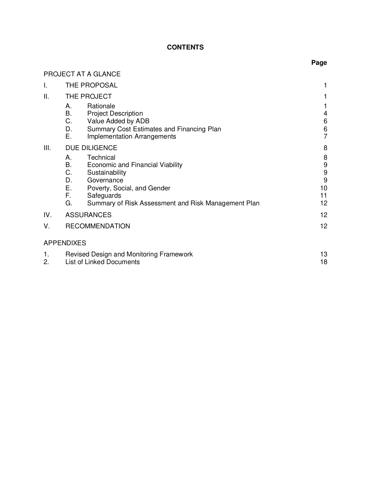# **CONTENTS**

|          | PROJECT AT A GLANCE                                                                                                                                                                                                                          |                                                |
|----------|----------------------------------------------------------------------------------------------------------------------------------------------------------------------------------------------------------------------------------------------|------------------------------------------------|
| I.       | THE PROPOSAL                                                                                                                                                                                                                                 | 1                                              |
| Ш.       | THE PROJECT                                                                                                                                                                                                                                  |                                                |
|          | Rationale<br>А.<br>Β.<br><b>Project Description</b><br>C.<br>Value Added by ADB<br>Summary Cost Estimates and Financing Plan<br>D.<br>Е.<br>Implementation Arrangements                                                                      | 4<br>6<br>6<br>$\overline{7}$                  |
| III.     | DUE DILIGENCE<br>Technical<br>А.<br>В.<br>Economic and Financial Viability<br>C.<br>Sustainability<br>D.<br>Governance<br>Е.<br>Poverty, Social, and Gender<br>F.<br>Safeguards<br>G.<br>Summary of Risk Assessment and Risk Management Plan | 8<br>8<br>$\frac{9}{9}$<br>9<br>10<br>11<br>12 |
| IV.      | <b>ASSURANCES</b>                                                                                                                                                                                                                            | 12                                             |
| V.       | <b>RECOMMENDATION</b>                                                                                                                                                                                                                        | 12                                             |
|          | <b>APPENDIXES</b>                                                                                                                                                                                                                            |                                                |
| 1.<br>2. | Revised Design and Monitoring Framework<br><b>List of Linked Documents</b>                                                                                                                                                                   | 13<br>18                                       |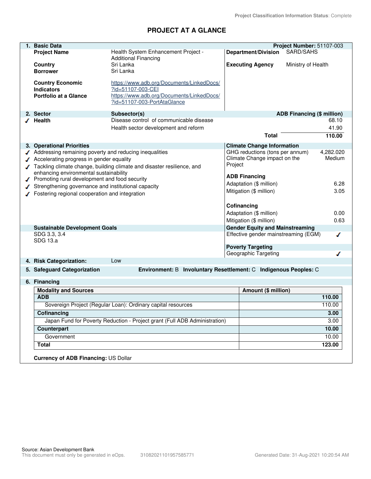# **PROJECT AT A GLANCE**

| 1. Basic Data                                          |                                                                            |         |                                                  | Project Number: 51107-003            |           |
|--------------------------------------------------------|----------------------------------------------------------------------------|---------|--------------------------------------------------|--------------------------------------|-----------|
| <b>Project Name</b>                                    | Health System Enhancement Project -                                        |         | <b>Department/Division</b>                       | SARD/SAHS                            |           |
|                                                        | <b>Additional Financing</b>                                                |         |                                                  |                                      |           |
| Country                                                | Sri Lanka                                                                  |         | <b>Executing Agency</b>                          | Ministry of Health                   |           |
| <b>Borrower</b>                                        | Sri Lanka                                                                  |         |                                                  |                                      |           |
| <b>Country Economic</b>                                | https://www.adb.org/Documents/LinkedDocs/                                  |         |                                                  |                                      |           |
| <b>Indicators</b>                                      | ?id=51107-003-CEI                                                          |         |                                                  |                                      |           |
| <b>Portfolio at a Glance</b>                           | https://www.adb.org/Documents/LinkedDocs/                                  |         |                                                  |                                      |           |
|                                                        | ?id=51107-003-PortAtaGlance                                                |         |                                                  |                                      |           |
| 2. Sector                                              | Subsector(s)                                                               |         |                                                  | <b>ADB Financing (\$ million)</b>    |           |
| <b>Health</b>                                          | Disease control of communicable disease                                    |         |                                                  |                                      | 68.10     |
|                                                        | Health sector development and reform                                       |         |                                                  |                                      | 41.90     |
|                                                        |                                                                            |         | <b>Total</b>                                     |                                      | 110.00    |
| 3. Operational Priorities                              |                                                                            |         | <b>Climate Change Information</b>                |                                      |           |
| Addressing remaining poverty and reducing inequalities |                                                                            |         | GHG reductions (tons per annum)                  |                                      | 4,282.020 |
| Accelerating progress in gender equality               |                                                                            |         | Climate Change impact on the                     |                                      | Medium    |
|                                                        | Tackling climate change, building climate and disaster resilience, and     | Project |                                                  |                                      |           |
| enhancing environmental sustainability                 |                                                                            |         | <b>ADB Financing</b>                             |                                      |           |
| Promoting rural development and food security          |                                                                            |         | Adaptation (\$ million)                          |                                      | 6.28      |
| Strengthening governance and institutional capacity    |                                                                            |         | Mitigation (\$ million)                          |                                      | 3.05      |
| Fostering regional cooperation and integration         |                                                                            |         |                                                  |                                      |           |
|                                                        |                                                                            |         | Cofinancing                                      |                                      |           |
|                                                        |                                                                            |         | Adaptation (\$ million)                          |                                      | 0.00      |
|                                                        |                                                                            |         | Mitigation (\$ million)                          |                                      | 0.63      |
| <b>Sustainable Development Goals</b>                   |                                                                            |         | <b>Gender Equity and Mainstreaming</b>           |                                      |           |
| SDG 3.3, 3.4                                           |                                                                            |         |                                                  | Effective gender mainstreaming (EGM) | ◢         |
| SDG 13.a                                               |                                                                            |         |                                                  |                                      |           |
|                                                        |                                                                            |         | <b>Poverty Targeting</b><br>Geographic Targeting |                                      |           |
| 4. Risk Categorization:                                | Low                                                                        |         |                                                  |                                      |           |
|                                                        |                                                                            |         |                                                  |                                      |           |
| 5. Safeguard Categorization                            | Environment: B Involuntary Resettlement: C Indigenous Peoples: C           |         |                                                  |                                      |           |
| 6. Financing                                           |                                                                            |         |                                                  |                                      |           |
| <b>Modality and Sources</b>                            |                                                                            |         | Amount (\$ million)                              |                                      |           |
| <b>ADB</b>                                             |                                                                            |         |                                                  |                                      | 110.00    |
|                                                        | Sovereign Project (Regular Loan): Ordinary capital resources               |         |                                                  |                                      | 110.00    |
| Cofinancing                                            |                                                                            |         |                                                  |                                      | 3.00      |
|                                                        | Japan Fund for Poverty Reduction - Project grant (Full ADB Administration) |         |                                                  |                                      | 3.00      |
| Counterpart                                            |                                                                            |         |                                                  |                                      | 10.00     |
| Government                                             |                                                                            |         |                                                  |                                      | 10.00     |
| <b>Total</b>                                           |                                                                            |         |                                                  |                                      | 123.00    |
| Currency of ADB Financing: US Dollar                   |                                                                            |         |                                                  |                                      |           |
|                                                        |                                                                            |         |                                                  |                                      |           |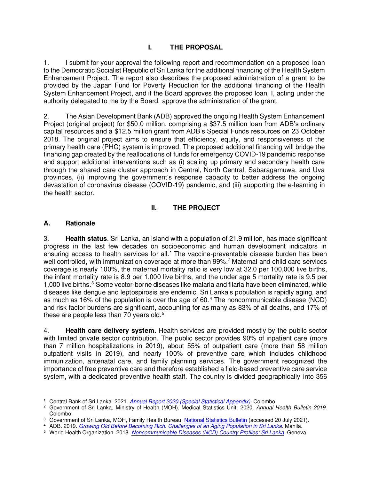### **I. THE PROPOSAL**

1. I submit for your approval the following report and recommendation on a proposed loan to the Democratic Socialist Republic of Sri Lanka for the additional financing of the Health System Enhancement Project. The report also describes the proposed administration of a grant to be provided by the Japan Fund for Poverty Reduction for the additional financing of the Health System Enhancement Project, and if the Board approves the proposed loan, I, acting under the authority delegated to me by the Board, approve the administration of the grant.

2. The Asian Development Bank (ADB) approved the ongoing Health System Enhancement Project (original project) for \$50.0 million, comprising a \$37.5 million loan from ADB's ordinary capital resources and a \$12.5 million grant from ADB's Special Funds resources on 23 October 2018. The original project aims to ensure that efficiency, equity, and responsiveness of the primary health care (PHC) system is improved. The proposed additional financing will bridge the financing gap created by the reallocations of funds for emergency COVID-19 pandemic response and support additional interventions such as (i) scaling up primary and secondary health care through the shared care cluster approach in Central, North Central, Sabaragamuwa, and Uva provinces, (ii) improving the government's response capacity to better address the ongoing devastation of coronavirus disease (COVID-19) pandemic, and (iii) supporting the e-learning in the health sector.

#### **II. THE PROJECT**

#### **A. Rationale**

3. **Health status**. Sri Lanka, an island with a population of 21.9 million, has made significant progress in the last few decades on socioeconomic and human development indicators in ensuring access to health services for all.<sup>1</sup> The vaccine-preventable disease burden has been well controlled, with immunization coverage at more than 99%.<sup>2</sup> Maternal and child care services coverage is nearly 100%, the maternal mortality ratio is very low at 32.0 per 100,000 live births, the infant mortality rate is 8.9 per 1,000 live births, and the under age 5 mortality rate is 9.5 per 1,000 live births.<sup>3</sup> Some vector-borne diseases like malaria and filaria have been eliminated, while diseases like dengue and leptospirosis are endemic. Sri Lanka's population is rapidly aging, and as much as 16% of the population is over the age of 60. $4$  The noncommunicable disease (NCD) and risk factor burdens are significant, accounting for as many as 83% of all deaths, and 17% of these are people less than 70 years old. $5$ 

4. **Health care delivery system.** Health services are provided mostly by the public sector with limited private sector contribution. The public sector provides 90% of inpatient care (more than 7 million hospitalizations in 2019), about 55% of outpatient care (more than 58 million outpatient visits in 2019), and nearly 100% of preventive care which includes childhood immunization, antenatal care, and family planning services. The government recognized the importance of free preventive care and therefore established a field-based preventive care service system, with a dedicated preventive health staff. The country is divided geographically into 356

<sup>1</sup> Central Bank of Sri Lanka. 2021. *[Annual Report 2020 \(Special Statistical Appendix\)](https://www.cbsl.gov.lk/sites/default/files/cbslweb_documents/publications/annual_report/2020/en/16_S_Appendix.pdf)*. Colombo.

<sup>2</sup> Government of Sri Lanka, Ministry of Health (MOH), Medical Statistics Unit. 2020. *Annual Health Bulletin 2019.* Colombo.

<sup>&</sup>lt;sup>3</sup> Government of Sri Lanka, MOH, Family Health Bureau. [National Statistics Bulletin](https://fhb.health.gov.lk/index.php/en/statistics) (accessed 20 July 2021).

<sup>4</sup> ADB. 2019. *[Growing Old Before Becoming Rich. Challenges of an Aging Population in Sri Lanka](https://www.adb.org/sites/default/files/publication/557446/aging-population-sri-lanka.pdf)*. Manila.

<sup>5</sup> World Health Organization. 2018. *[Noncommunicable Diseases \(NCD\) Country Profiles: Sri Lanka.](https://www.who.int/nmh/countries/lka_en.pdf)* Geneva.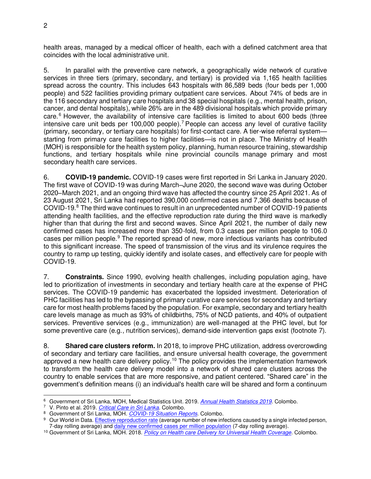health areas, managed by a medical officer of health, each with a defined catchment area that coincides with the local administrative unit.

5. In parallel with the preventive care network, a geographically wide network of curative services in three tiers (primary, secondary, and tertiary) is provided via 1,165 health facilities spread across the country. This includes 643 hospitals with 86,589 beds (four beds per 1,000 people) and 522 facilities providing primary outpatient care services. About 74% of beds are in the 116 secondary and tertiary care hospitals and 38 special hospitals (e.g., mental health, prison, cancer, and dental hospitals), while 26% are in the 489 divisional hospitals which provide primary care.<sup>6</sup> However, the availability of intensive care facilities is limited to about 600 beds (three intensive care unit beds per 100,000 people).<sup>7</sup> People can access any level of curative facility (primary, secondary, or tertiary care hospitals) for first-contact care. A tier-wise referral system starting from primary care facilities to higher facilities—is not in place. The Ministry of Health (MOH) is responsible for the health system policy, planning, human resource training, stewardship functions, and tertiary hospitals while nine provincial councils manage primary and most secondary health care services.

6. **COVID-19 pandemic.** COVID-19 cases were first reported in Sri Lanka in January 2020. The first wave of COVID-19 was during March–June 2020, the second wave was during October 2020–March 2021, and an ongoing third wave has affected the country since 25 April 2021. As of 23 August 2021, Sri Lanka had reported 390,000 confirmed cases and 7,366 deaths because of COVID-19.<sup>8</sup> The third wave continues to result in an unprecedented number of COVID-19 patients attending health facilities, and the effective reproduction rate during the third wave is markedly higher than that during the first and second waves. Since April 2021, the number of daily new confirmed cases has increased more than 350-fold, from 0.3 cases per million people to 106.0 cases per million people.<sup>9</sup> The reported spread of new, more infectious variants has contributed to this significant increase. The speed of transmission of the virus and its virulence requires the country to ramp up testing, quickly identify and isolate cases, and effectively care for people with COVID-19.

7. **Constraints.** Since 1990, evolving health challenges, including population aging, have led to prioritization of investments in secondary and tertiary health care at the expense of PHC services. The COVID-19 pandemic has exacerbated the lopsided investment. Deterioration of PHC facilities has led to the bypassing of primary curative care services for secondary and tertiary care for most health problems faced by the population. For example, secondary and tertiary health care levels manage as much as 93% of childbirths, 75% of NCD patients, and 40% of outpatient services. Preventive services (e.g., immunization) are well-managed at the PHC level, but for some preventive care (e.g., nutrition services), demand-side intervention gaps exist (footnote 7).

8. **Shared care clusters reform.** In 2018, to improve PHC utilization, address overcrowding of secondary and tertiary care facilities, and ensure universal health coverage, the government approved a new health care delivery policy.<sup>10</sup> The policy provides the implementation framework to transform the health care delivery model into a network of shared care clusters across the country to enable services that are more responsive, and patient centered. "Shared care" in the government's definition means (i) an individual's health care will be shared and form a continuum

<sup>6</sup> Government of Sri Lanka, MOH, Medical Statistics Unit. 2019. *[Annual Health Statistics 2019](http://www.health.gov.lk/moh_final/english/public/elfinder/files/publications/AHB/AHS%202019.pdf)*. Colombo.

<sup>7</sup> V. Pinto et al. 2019*[. Critical Care in Sri Lanka.](https://criticalcare.lk/wp-content/uploads/2019/04/SLMA-publication-edited-for-word-count-1.pdf)* Colombo.

<sup>8</sup> Government of Sri Lanka, MOH. *[COVID-19 Situation Reports](http://www.epid.gov.lk/web/index.php?option=com_content&view=article&id=225&Itemid=518&lang=en)*. Colombo.

<sup>&</sup>lt;sup>9</sup> Our World in Data. *Effective reproduction rate (average number of new infections caused by a single infected person,* 7-day rolling average) an[d daily new confirmed cases per million population](https://ourworldindata.org/explorers/coronavirus-data-explorer?zoomToSelection=true&time=2020-03-01..latest&pickerSort=asc&pickerMetric=location&Metric=Confirmed+cases&Interval=7-day+rolling+average&Relative+to+Population=true&Align+outbreaks=false&country=~LKA) (7-day rolling average).

<sup>10</sup> Government of Sri Lanka, MOH. 2018. *[Policy on Health care Delivery for Universal Health Coverage.](http://www.health.gov.lk/moh_final/english/public/elfinder/files/publications/publishpolicy/23_UHC%20Policy.pdf)* Colombo.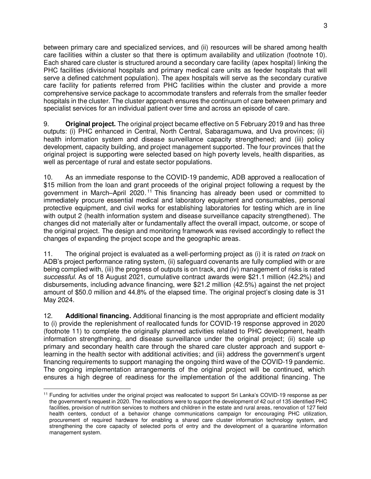between primary care and specialized services, and (ii) resources will be shared among health care facilities within a cluster so that there is optimum availability and utilization (footnote 10). Each shared care cluster is structured around a secondary care facility (apex hospital) linking the PHC facilities (divisional hospitals and primary medical care units as feeder hospitals that will serve a defined catchment population). The apex hospitals will serve as the secondary curative care facility for patients referred from PHC facilities within the cluster and provide a more comprehensive service package to accommodate transfers and referrals from the smaller feeder hospitals in the cluster. The cluster approach ensures the continuum of care between primary and specialist services for an individual patient over time and across an episode of care.

9. **Original project.** The original project became effective on 5 February 2019 and has three outputs: (i) PHC enhanced in Central, North Central, Sabaragamuwa, and Uva provinces; (ii) health information system and disease surveillance capacity strengthened; and (iii) policy development, capacity building, and project management supported. The four provinces that the original project is supporting were selected based on high poverty levels, health disparities, as well as percentage of rural and estate sector populations.

10. As an immediate response to the COVID-19 pandemic, ADB approved a reallocation of \$15 million from the loan and grant proceeds of the original project following a request by the government in March–April 2020. <sup>11</sup> This financing has already been used or committed to immediately procure essential medical and laboratory equipment and consumables, personal protective equipment, and civil works for establishing laboratories for testing which are in line with output 2 (health information system and disease surveillance capacity strengthened). The changes did not materially alter or fundamentally affect the overall impact, outcome, or scope of the original project. The design and monitoring framework was revised accordingly to reflect the changes of expanding the project scope and the geographic areas.

11. The original project is evaluated as a well-performing project as (i) it is rated *on track* on ADB's project performance rating system, (ii) safeguard covenants are fully complied with or are being complied with, (iii) the progress of outputs is on track, and (iv) management of risks is rated *successful*. As of 18 August 2021, cumulative contract awards were \$21.1 million (42.2%) and disbursements, including advance financing, were \$21.2 million (42.5%) against the net project amount of \$50.0 million and 44.8% of the elapsed time. The original project's closing date is 31 May 2024.

12. **Additional financing.** Additional financing is the most appropriate and efficient modality to (i) provide the replenishment of reallocated funds for COVID-19 response approved in 2020 (footnote 11) to complete the originally planned activities related to PHC development, health information strengthening, and disease surveillance under the original project; (ii) scale up primary and secondary health care through the shared care cluster approach and support elearning in the health sector with additional activities; and (iii) address the government's urgent financing requirements to support managing the ongoing third wave of the COVID-19 pandemic. The ongoing implementation arrangements of the original project will be continued, which ensures a high degree of readiness for the implementation of the additional financing. The

<sup>&</sup>lt;sup>11</sup> Funding for activities under the original project was reallocated to support Sri Lanka's COVID-19 response as per the government's request in 2020. The reallocations were to support the development of 42 out of 135 identified PHC facilities, provision of nutrition services to mothers and children in the estate and rural areas, renovation of 127 field health centers, conduct of a behavior change communications campaign for encouraging PHC utilization, procurement of required hardware for enabling a shared care cluster information technology system, and strengthening the core capacity of selected ports of entry and the development of a quarantine information management system.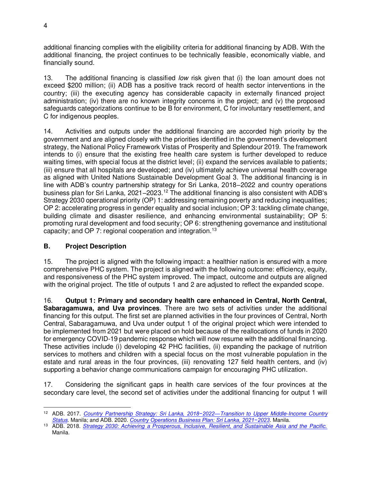additional financing complies with the eligibility criteria for additional financing by ADB. With the additional financing, the project continues to be technically feasible, economically viable, and financially sound.

13. The additional financing is classified *low* risk given that (i) the loan amount does not exceed \$200 million; (ii) ADB has a positive track record of health sector interventions in the country; (iii) the executing agency has considerable capacity in externally financed project administration; (iv) there are no known integrity concerns in the project; and (v) the proposed safeguards categorizations continue to be B for environment, C for involuntary resettlement, and C for indigenous peoples.

14. Activities and outputs under the additional financing are accorded high priority by the government and are aligned closely with the priorities identified in the government's development strategy, the National Policy Framework Vistas of Prosperity and Splendour 2019. The framework intends to (i) ensure that the existing free health care system is further developed to reduce waiting times, with special focus at the district level; (ii) expand the services available to patients; (iii) ensure that all hospitals are developed; and (iv) ultimately achieve universal health coverage as aligned with United Nations Sustainable Development Goal 3. The additional financing is in line with ADB's country partnership strategy for Sri Lanka, 2018–2022 and country operations business plan for Sri Lanka, 2021–2023.<sup>12</sup> The additional financing is also consistent with ADB's Strategy 2030 operational priority (OP) 1: addressing remaining poverty and reducing inequalities; OP 2: accelerating progress in gender equality and social inclusion; OP 3: tackling climate change, building climate and disaster resilience, and enhancing environmental sustainability; OP 5: promoting rural development and food security; OP 6: strengthening governance and institutional capacity; and OP 7: regional cooperation and integration.<sup>13</sup>

### **B. Project Description**

15. The project is aligned with the following impact: a healthier nation is ensured with a more comprehensive PHC system. The project is aligned with the following outcome: efficiency, equity, and responsiveness of the PHC system improved. The impact, outcome and outputs are aligned with the original project. The title of outputs 1 and 2 are adjusted to reflect the expanded scope.

16. **Output 1: Primary and secondary health care enhanced in Central, North Central, Sabaragamuwa, and Uva provinces**. There are two sets of activities under the additional financing for this output. The first set are planned activities in the four provinces of Central, North Central, Sabaragamuwa, and Uva under output 1 of the original project which were intended to be implemented from 2021 but were placed on hold because of the reallocations of funds in 2020 for emergency COVID-19 pandemic response which will now resume with the additional financing. These activities include (i) developing 42 PHC facilities, (ii) expanding the package of nutrition services to mothers and children with a special focus on the most vulnerable population in the estate and rural areas in the four provinces, (iii) renovating 127 field health centers, and (iv) supporting a behavior change communications campaign for encouraging PHC utilization.

17. Considering the significant gaps in health care services of the four provinces at the secondary care level, the second set of activities under the additional financing for output 1 will

<sup>12</sup> ADB. 2017. *Country Partnership Strategy: Sri Lanka, 2018−2022—[Transition to Upper Middle-Income Country](https://www.adb.org/sites/default/files/institutional-document/342216/cps-sri-2018-2022.pdf)  [Status](https://www.adb.org/sites/default/files/institutional-document/342216/cps-sri-2018-2022.pdf)*. Manila; and ADB. 2020. *[Country Operations Business Plan: Sri Lanka, 2021−2023](https://www.adb.org/sites/default/files/institutional-document/653766/cobp-sri-2021-2023.pdf)*. Manila.

<sup>13</sup> ADB. 2018. *[Strategy 2030: Achieving a Prosperous, Inclusive, Resilient, and Sustainable Asia and the Pacific.](https://www.adb.org/sites/default/files/institutional-document/435391/strategy-2030-main-document.pdf)* Manila.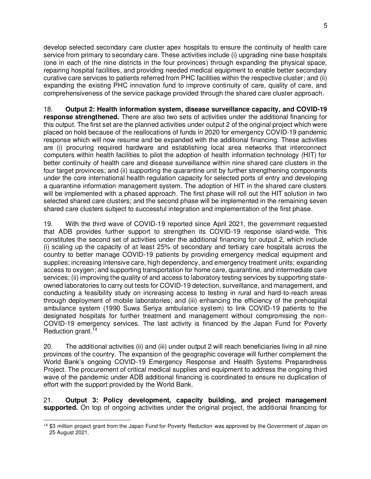develop selected secondary care cluster apex hospitals to ensure the continuity of health care service from primary to secondary care. These activities include (i) upgrading nine base hospitals (one in each of the nine districts in the four provinces) through expanding the physical space, repairing hospital facilities, and providing needed medical equipment to enable better secondary curative care services to patients referred from PHC facilities within the respective cluster; and (ii) expanding the existing PHC innovation fund to improve continuity of care, quality of care, and comprehensiveness of the service package provided through the shared care cluster approach.

18. **Output 2: Health information system, disease surveillance capacity, and COVID-19 response strengthened.** There are also two sets of activities under the additional financing for this output. The first set are the planned activities under output 2 of the original project which were placed on hold because of the reallocations of funds in 2020 for emergency COVID-19 pandemic response which will now resume and be expanded with the additional financing. These activities are (i) procuring required hardware and establishing local area networks that interconnect computers within health facilities to pilot the adoption of health information technology (HIT) for better continuity of health care and disease surveillance within nine shared care clusters in the four target provinces; and (ii) supporting the quarantine unit by further strengthening components under the core international health regulation capacity for selected ports of entry and developing a quarantine information management system. The adoption of HIT in the shared care clusters will be implemented with a phased approach. The first phase will roll out the HIT solution in two selected shared care clusters; and the second phase will be implemented in the remaining seven shared care clusters subject to successful integration and implementation of the first phase.

19. With the third wave of COVID-19 reported since April 2021, the government requested that ADB provides further support to strengthen its COVID-19 response island-wide. This constitutes the second set of activities under the additional financing for output 2, which include (i) scaling up the capacity of at least 25% of secondary and tertiary care hospitals across the country to better manage COVID-19 patients by providing emergency medical equipment and supplies; increasing intensive care, high dependency, and emergency treatment units; expanding access to oxygen; and supporting transportation for home care, quarantine, and intermediate care services; (ii) improving the quality of and access to laboratory testing services by supporting stateowned laboratories to carry out tests for COVID-19 detection, surveillance, and management, and conducting a feasibility study on increasing access to testing in rural and hard-to-reach areas through deployment of mobile laboratories; and (iii) enhancing the efficiency of the prehospital ambulance system (1990 Suwa Seriya ambulance system) to link COVID-19 patients to the designated hospitals for further treatment and management without compromising the non-COVID-19 emergency services. The last activity is financed by the Japan Fund for Poverty Reduction grant.<sup>14</sup>

20. The additional activities (ii) and (iii) under output 2 will reach beneficiaries living in all nine provinces of the country. The expansion of the geographic coverage will further complement the World Bank's ongoing COVID-19 Emergency Response and Health Systems Preparedness Project. The procurement of critical medical supplies and equipment to address the ongoing third wave of the pandemic under ADB additional financing is coordinated to ensure no duplication of effort with the support provided by the World Bank.

21. **Output 3: Policy development, capacity building, and project management supported.** On top of ongoing activities under the original project, the additional financing for

<sup>&</sup>lt;sup>14</sup> \$3 million project grant from the Japan Fund for Poverty Reduction was approved by the Government of Japan on 25 August 2021.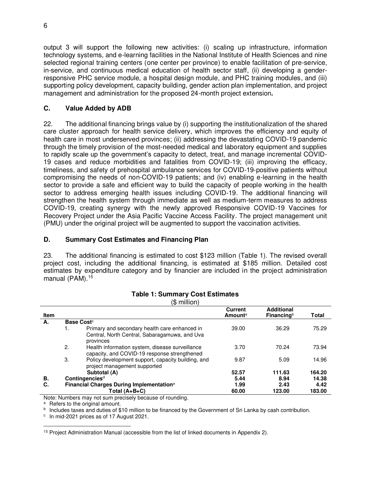output 3 will support the following new activities: (i) scaling up infrastructure, information technology systems, and e-learning facilities in the National Institute of Health Sciences and nine selected regional training centers (one center per province) to enable facilitation of pre-service, in-service, and continuous medical education of health sector staff, (ii) developing a genderresponsive PHC service module, a hospital design module, and PHC training modules, and (iii) supporting policy development, capacity building, gender action plan implementation, and project management and administration for the proposed 24-month project extension**.**

### **C. Value Added by ADB**

22. The additional financing brings value by (i) supporting the institutionalization of the shared care cluster approach for health service delivery, which improves the efficiency and equity of health care in most underserved provinces; (ii) addressing the devastating COVID-19 pandemic through the timely provision of the most-needed medical and laboratory equipment and supplies to rapidly scale up the government's capacity to detect, treat, and manage incremental COVID-19 cases and reduce morbidities and fatalities from COVID-19; (iii) improving the efficacy, timeliness, and safety of prehospital ambulance services for COVID-19-positive patients without compromising the needs of non-COVID-19 patients; and (iv) enabling e-learning in the health sector to provide a safe and efficient way to build the capacity of people working in the health sector to address emerging health issues including COVID-19. The additional financing will strengthen the health system through immediate as well as medium-term measures to address COVID-19, creating synergy with the newly approved Responsive COVID-19 Vaccines for Recovery Project under the Asia Pacific Vaccine Access Facility. The project management unit (PMU) under the original project will be augmented to support the vaccination activities.

### **D. Summary Cost Estimates and Financing Plan**

23. The additional financing is estimated to cost \$123 million (Table 1). The revised overall project cost, including the additional financing, is estimated at \$185 million. Detailed cost estimates by expenditure category and by financier are included in the project administration manual (PAM).<sup>15</sup>

|             |    | (\$ million)                                                                                                |                                              |                                    |        |
|-------------|----|-------------------------------------------------------------------------------------------------------------|----------------------------------------------|------------------------------------|--------|
| <b>Item</b> |    |                                                                                                             | <b>Current</b><br><b>Amount</b> <sup>a</sup> | <b>Additional</b><br>Financing $b$ | Total  |
| А.          |    | <b>Base Cost</b> <sup>c</sup>                                                                               |                                              |                                    |        |
|             |    | Primary and secondary health care enhanced in<br>Central, North Central, Sabaragamuwa, and Uva<br>provinces | 39.00                                        | 36.29                              | 75.29  |
|             | 2. | Health information system, disease surveillance<br>capacity, and COVID-19 response strengthened             | 3.70                                         | 70.24                              | 73.94  |
|             | 3. | Policy development support, capacity building, and<br>project management supported                          | 9.87                                         | 5.09                               | 14.96  |
|             |    | Subtotal (A)                                                                                                | 52.57                                        | 111.63                             | 164.20 |
| В.          |    | Contingencies <sup>d</sup>                                                                                  | 5.44                                         | 8.94                               | 14.38  |
| C.          |    | Financial Charges During Implementation <sup>e</sup>                                                        | 1.99                                         | 2.43                               | 4.42   |
|             |    | Total (A+B+C)                                                                                               | 60.00                                        | 123.00                             | 183.00 |

# **Table 1: Summary Cost Estimates**

Note: Numbers may not sum precisely because of rounding.

a Refers to the original amount.

<sup>b</sup> Includes taxes and duties of \$10 million to be financed by the Government of Sri Lanka by cash contribution.

c In mid-2021 prices as of 17 August 2021.

<sup>15</sup> Project Administration Manual (accessible from the list of linked documents in Appendix 2).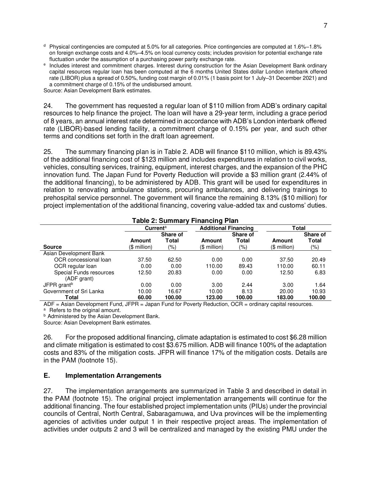- $d$  Physical contingencies are computed at 5.0% for all categories. Price contingencies are computed at 1.6%–1.8% on foreign exchange costs and 4.0%–4.5% on local currency costs; includes provision for potential exchange rate fluctuation under the assumption of a purchasing power parity exchange rate.
- e Includes interest and commitment charges. Interest during construction for the Asian Development Bank ordinary capital resources regular loan has been computed at the 6 months United States dollar London interbank offered rate (LIBOR) plus a spread of 0.50%, funding cost margin of 0.01% (1 basis point for 1 July–31 December 2021) and a commitment charge of 0.15% of the undisbursed amount.

Source: Asian Development Bank estimates.

24. The government has requested a regular loan of \$110 million from ADB's ordinary capital resources to help finance the project. The loan will have a 29-year term, including a grace period of 8 years, an annual interest rate determined in accordance with ADB's London interbank offered rate (LIBOR)-based lending facility, a commitment charge of 0.15% per year, and such other terms and conditions set forth in the draft loan agreement.

25. The summary financing plan is in Table 2. ADB will finance \$110 million, which is 89.43% of the additional financing cost of \$123 million and includes expenditures in relation to civil works, vehicles, consulting services, training, equipment, interest charges, and the expansion of the PHC innovation fund. The Japan Fund for Poverty Reduction will provide a \$3 million grant (2.44% of the additional financing), to be administered by ADB. This grant will be used for expenditures in relation to renovating ambulance stations, procuring ambulances, and delivering trainings to prehospital service personnel. The government will finance the remaining 8.13% (\$10 million) for project implementation of the additional financing, covering value-added tax and customs' duties.

| $\frac{1}{2}$ and $\frac{1}{2}$ . Our mind $\frac{1}{2}$ is interesting to the state |                      |          |                             |          |              |          |
|--------------------------------------------------------------------------------------|----------------------|----------|-----------------------------|----------|--------------|----------|
|                                                                                      | Current <sup>a</sup> |          | <b>Additional Financing</b> |          | Total        |          |
|                                                                                      |                      | Share of |                             | Share of |              | Share of |
|                                                                                      | <b>Amount</b>        | Total    | Amount                      | Total    | Amount       | Total    |
| <b>Source</b>                                                                        | (\$ million)         | (%)      | (\$ million)                | $(\% )$  | (\$ million) | (% )     |
| Asian Development Bank                                                               |                      |          |                             |          |              |          |
| OCR concessional loan                                                                | 37.50                | 62.50    | 0.00                        | 0.00     | 37.50        | 20.49    |
| OCR regular loan                                                                     | 0.00                 | 0.00     | 110.00                      | 89.43    | 110.00       | 60.11    |
| Special Funds resources                                                              | 12.50                | 20.83    | 0.00                        | 0.00     | 12.50        | 6.83     |
| (ADF grant)                                                                          |                      |          |                             |          |              |          |
| JFPR grant <sup>b</sup>                                                              | 0.00                 | 0.00     | 3.00                        | 2.44     | 3.00         | 1.64     |
| Government of Sri Lanka                                                              | 10.00                | 16.67    | 10.00                       | 8.13     | 20.00        | 10.93    |
| Total                                                                                | 60.00                | 100.00   | 123.00                      | 100.00   | 183.00       | 100.00   |

### **Table 2: Summary Financing Plan**

 $ADE = Asian Development Fund$ , JFPR = Japan Fund for Poverty Reduction, OCR = ordinary capital resources. <sup>a</sup> Refers to the original amount.

**b** Administered by the Asian Development Bank.

Source: Asian Development Bank estimates.

26. For the proposed additional financing, climate adaptation is estimated to cost \$6.28 million and climate mitigation is estimated to cost \$3.675 million. ADB will finance 100% of the adaptation costs and 83% of the mitigation costs. JFPR will finance 17% of the mitigation costs. Details are in the PAM (footnote 15).

#### **E. Implementation Arrangements**

27. The implementation arrangements are summarized in Table 3 and described in detail in the PAM (footnote 15). The original project implementation arrangements will continue for the additional financing. The four established project implementation units (PIUs) under the provincial councils of Central, North Central, Sabaragamuwa, and Uva provinces will be the implementing agencies of activities under output 1 in their respective project areas. The implementation of activities under outputs 2 and 3 will be centralized and managed by the existing PMU under the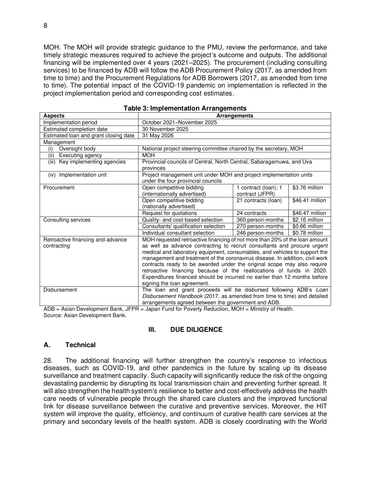MOH. The MOH will provide strategic guidance to the PMU, review the performance, and take timely strategic measures required to achieve the project's outcome and outputs. The additional financing will be implemented over 4 years (2021–2025). The procurement (including consulting services) to be financed by ADB will follow the ADB Procurement Policy (2017, as amended from time to time) and the Procurement Regulations for ADB Borrowers (2017, as amended from time to time). The potential impact of the COVID-19 pandemic on implementation is reflected in the project implementation period and corresponding cost estimates.

| rable 5. implementation Arrangements             |                                                                                                                                                                                                                                                                                                                                                                                                                                                                                                                                                                                      |                                         |                 |  |
|--------------------------------------------------|--------------------------------------------------------------------------------------------------------------------------------------------------------------------------------------------------------------------------------------------------------------------------------------------------------------------------------------------------------------------------------------------------------------------------------------------------------------------------------------------------------------------------------------------------------------------------------------|-----------------------------------------|-----------------|--|
| <b>Aspects</b>                                   | Arrangements                                                                                                                                                                                                                                                                                                                                                                                                                                                                                                                                                                         |                                         |                 |  |
| Implementation period                            | October 2021-November 2025                                                                                                                                                                                                                                                                                                                                                                                                                                                                                                                                                           |                                         |                 |  |
| Estimated completion date                        | 30 November 2025                                                                                                                                                                                                                                                                                                                                                                                                                                                                                                                                                                     |                                         |                 |  |
| Estimated loan and grant closing date            | 31 May 2026                                                                                                                                                                                                                                                                                                                                                                                                                                                                                                                                                                          |                                         |                 |  |
| Management                                       |                                                                                                                                                                                                                                                                                                                                                                                                                                                                                                                                                                                      |                                         |                 |  |
| Oversight body<br>(i)                            | National project steering committee chaired by the secretary, MOH                                                                                                                                                                                                                                                                                                                                                                                                                                                                                                                    |                                         |                 |  |
| Executing agency<br>(ii)                         | <b>MOH</b>                                                                                                                                                                                                                                                                                                                                                                                                                                                                                                                                                                           |                                         |                 |  |
| (iii) Key implementing agencies                  | Provincial councils of Central, North Central, Sabaragamuwa, and Uva<br>provinces                                                                                                                                                                                                                                                                                                                                                                                                                                                                                                    |                                         |                 |  |
| (iv) Implementation unit                         | Project management unit under MOH and project implementation units<br>under the four provincial councils                                                                                                                                                                                                                                                                                                                                                                                                                                                                             |                                         |                 |  |
| Procurement                                      | Open competitive bidding<br>(internationally advertised)                                                                                                                                                                                                                                                                                                                                                                                                                                                                                                                             | 1 contract (loan); 1<br>contract (JFPR) | \$3.76 million  |  |
|                                                  | Open competitive bidding<br>(nationally advertised)                                                                                                                                                                                                                                                                                                                                                                                                                                                                                                                                  | 21 contracts (loan)                     | \$46.41 million |  |
|                                                  | Request for quotations                                                                                                                                                                                                                                                                                                                                                                                                                                                                                                                                                               | 24 contracts                            | \$46.47 million |  |
| Consulting services                              | Quality- and cost-based selection                                                                                                                                                                                                                                                                                                                                                                                                                                                                                                                                                    | 360 person-months                       | \$2.16 million  |  |
|                                                  | Consultants' qualification selection                                                                                                                                                                                                                                                                                                                                                                                                                                                                                                                                                 | 270 person-months                       | $$0.66$ million |  |
|                                                  | Individual consultant selection                                                                                                                                                                                                                                                                                                                                                                                                                                                                                                                                                      | 246 person-months                       | \$0.78 million  |  |
| Retroactive financing and advance<br>contracting | MOH requested retroactive financing of not more than 20% of the loan amount<br>as well as advance contracting to recruit consultants and procure urgent<br>medical and laboratory equipment, consumables, and vehicles to support the<br>management and treatment of the coronavirus disease. In addition, civil work<br>contracts ready to be awarded under the original scope may also require<br>retroactive financing because of the reallocations of funds in 2020.<br>Expenditures financed should be incurred no earlier than 12 months before<br>signing the loan agreement. |                                         |                 |  |
| Disbursement                                     | The loan and grant proceeds will be disbursed following ADB's Loan<br>Disbursement Handbook (2017, as amended from time to time) and detailed<br>arrangements agreed between the government and ADB.                                                                                                                                                                                                                                                                                                                                                                                 |                                         |                 |  |

|  | <b>Table 3: Implementation Arrangements</b> |  |
|--|---------------------------------------------|--|
|--|---------------------------------------------|--|

ADB = Asian Development Bank, JFPR = Japan Fund for Poverty Reduction, MOH = Ministry of Health. Source: Asian Development Bank.

#### **III. DUE DILIGENCE**

#### **A. Technical**

28. The additional financing will further strengthen the country's response to infectious diseases, such as COVID-19, and other pandemics in the future by scaling up its disease surveillance and treatment capacity. Such capacity will significantly reduce the risk of the ongoing devastating pandemic by disrupting its local transmission chain and preventing further spread. It will also strengthen the health system's resilience to better and cost-effectively address the health care needs of vulnerable people through the shared care clusters and the improved functional link for disease surveillance between the curative and preventive services. Moreover, the HIT system will improve the quality, efficiency, and continuum of curative health care services at the primary and secondary levels of the health system. ADB is closely coordinating with the World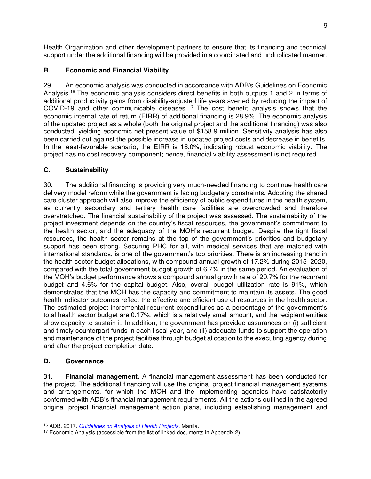Health Organization and other development partners to ensure that its financing and technical support under the additional financing will be provided in a coordinated and unduplicated manner.

# **B. Economic and Financial Viability**

29. An economic analysis was conducted in accordance with ADB's Guidelines on Economic Analysis.<sup>16</sup> The economic analysis considers direct benefits in both outputs 1 and 2 in terms of additional productivity gains from disability-adjusted life years averted by reducing the impact of COVID-19 and other communicable diseases. <sup>17</sup> The cost benefit analysis shows that the economic internal rate of return (EIRR) of additional financing is 28.9%. The economic analysis of the updated project as a whole (both the original project and the additional financing) was also conducted, yielding economic net present value of \$158.9 million. Sensitivity analysis has also been carried out against the possible increase in updated project costs and decrease in benefits. In the least-favorable scenario, the EIRR is 16.0%, indicating robust economic viability. The project has no cost recovery component; hence, financial viability assessment is not required.

# **C. Sustainability**

30. The additional financing is providing very much-needed financing to continue health care delivery model reform while the government is facing budgetary constraints. Adopting the shared care cluster approach will also improve the efficiency of public expenditures in the health system, as currently secondary and tertiary health care facilities are overcrowded and therefore overstretched. The financial sustainability of the project was assessed. The sustainability of the project investment depends on the country's fiscal resources, the government's commitment to the health sector, and the adequacy of the MOH's recurrent budget. Despite the tight fiscal resources, the health sector remains at the top of the government's priorities and budgetary support has been strong. Securing PHC for all, with medical services that are matched with international standards, is one of the government's top priorities. There is an increasing trend in the health sector budget allocations, with compound annual growth of 17.2% during 2015–2020, compared with the total government budget growth of 6.7% in the same period. An evaluation of the MOH's budget performance shows a compound annual growth rate of 20.7% for the recurrent budget and 4.6% for the capital budget. Also, overall budget utilization rate is 91%, which demonstrates that the MOH has the capacity and commitment to maintain its assets. The good health indicator outcomes reflect the effective and efficient use of resources in the health sector. The estimated project incremental recurrent expenditures as a percentage of the government's total health sector budget are 0.17%, which is a relatively small amount, and the recipient entities show capacity to sustain it. In addition, the government has provided assurances on (i) sufficient and timely counterpart funds in each fiscal year, and (ii) adequate funds to support the operation and maintenance of the project facilities through budget allocation to the executing agency during and after the project completion date.

# **D. Governance**

31. **Financial management.** A financial management assessment has been conducted for the project. The additional financing will use the original project financial management systems and arrangements, for which the MOH and the implementing agencies have satisfactorily conformed with ADB's financial management requirements. All the actions outlined in the agreed original project financial management action plans, including establishing management and

<sup>16</sup> ADB. 2017. *[Guidelines on Analysis of Health Projects](https://www.adb.org/documents/guidelines-economic-analysis-projects)*. Manila.

<sup>&</sup>lt;sup>17</sup> Economic Analysis (accessible from the list of linked documents in Appendix 2).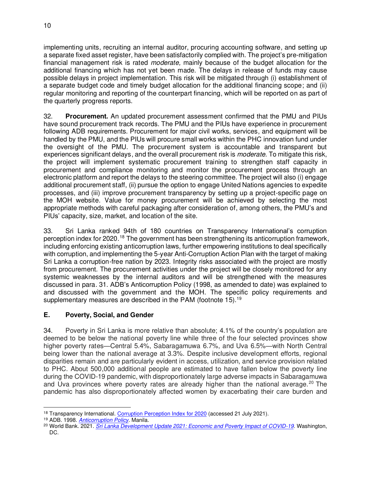implementing units, recruiting an internal auditor, procuring accounting software, and setting up a separate fixed asset register, have been satisfactorily complied with. The project's pre-mitigation financial management risk is rated *moderate,* mainly because of the budget allocation for the additional financing which has not yet been made. The delays in release of funds may cause possible delays in project implementation. This risk will be mitigated through (i) establishment of a separate budget code and timely budget allocation for the additional financing scope; and (ii) regular monitoring and reporting of the counterpart financing, which will be reported on as part of the quarterly progress reports.

32. **Procurement.** An updated procurement assessment confirmed that the PMU and PIUs have sound procurement track records. The PMU and the PIUs have experience in procurement following ADB requirements. Procurement for major civil works, services, and equipment will be handled by the PMU, and the PIUs will procure small works within the PHC innovation fund under the oversight of the PMU. The procurement system is accountable and transparent but experiences significant delays, and the overall procurement risk is *moderate*. To mitigate this risk, the project will implement systematic procurement training to strengthen staff capacity in procurement and compliance monitoring and monitor the procurement process through an electronic platform and report the delays to the steering committee. The project will also (i) engage additional procurement staff, (ii) pursue the option to engage United Nations agencies to expedite processes, and (iii) improve procurement transparency by setting up a project-specific page on the MOH website. Value for money procurement will be achieved by selecting the most appropriate methods with careful packaging after consideration of, among others, the PMU's and PIUs' capacity, size, market, and location of the site.

33. Sri Lanka ranked 94th of 180 countries on Transparency International's corruption perception index for 2020.<sup>18</sup> The government has been strengthening its anticorruption framework, including enforcing existing anticorruption laws, further empowering institutions to deal specifically with corruption, and implementing the 5-year Anti-Corruption Action Plan with the target of making Sri Lanka a corruption-free nation by 2023. Integrity risks associated with the project are mostly from procurement. The procurement activities under the project will be closely monitored for any systemic weaknesses by the internal auditors and will be strengthened with the measures discussed in para. 31. ADB's Anticorruption Policy (1998, as amended to date) was explained to and discussed with the government and the MOH. The specific policy requirements and supplementary measures are described in the PAM (footnote 15).<sup>19</sup>

### **E. Poverty, Social, and Gender**

34. Poverty in Sri Lanka is more relative than absolute; 4.1% of the country's population are deemed to be below the national poverty line while three of the four selected provinces show higher poverty rates—Central 5.4%, Sabaragamuwa 6.7%, and Uva 6.5%—with North Central being lower than the national average at 3.3%. Despite inclusive development efforts, regional disparities remain and are particularly evident in access, utilization, and service provision related to PHC. About 500,000 additional people are estimated to have fallen below the poverty line during the COVID-19 pandemic, with disproportionately large adverse impacts in Sabaragamuwa and Uva provinces where poverty rates are already higher than the national average.<sup>20</sup> The pandemic has also disproportionately affected women by exacerbating their care burden and

<sup>&</sup>lt;sup>18</sup> Transparency International[. Corruption Perception Index](https://www.transparency.org/en/cpi/2020/index/lka) for 2020 (accessed 21 July 2021).

<sup>19</sup> ADB. 1998. *[Anticorruption Policy](https://www.adb.org/sites/default/files/institutional-document/673621/anticorruption.pdf)*. Manila.

<sup>20</sup> World Bank. 2021. *[Sri Lanka Development Update 2021: Economic and Poverty Impact of COVID-19](https://thedocs.worldbank.org/en/doc/15b8de0edd4f39cc7a82b7aff8430576-0310062021/original/SriLanka-DevUpd-Apr9.pdf)*. Washington, DC.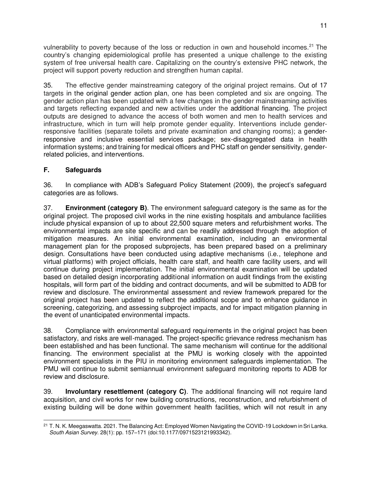vulnerability to poverty because of the loss or reduction in own and household incomes.<sup>21</sup> The country's changing epidemiological profile has presented a unique challenge to the existing system of free universal health care. Capitalizing on the country's extensive PHC network, the project will support poverty reduction and strengthen human capital.

35. The effective gender mainstreaming category of the original project remains. Out of 17 targets in the original gender action plan, one has been completed and six are ongoing. The gender action plan has been updated with a few changes in the gender mainstreaming activities and targets reflecting expanded and new activities under the additional financing. The project outputs are designed to advance the access of both women and men to health services and infrastructure, which in turn will help promote gender equality. Interventions include genderresponsive facilities (separate toilets and private examination and changing rooms); a genderresponsive and inclusive essential services package; sex-disaggregated data in health information systems; and training for medical officers and PHC staff on gender sensitivity, genderrelated policies, and interventions.

### **F. Safeguards**

36. In compliance with ADB's Safeguard Policy Statement (2009), the project's safeguard categories are as follows.

37. **Environment (category B)**. The environment safeguard category is the same as for the original project. The proposed civil works in the nine existing hospitals and ambulance facilities include physical expansion of up to about 22,500 square meters and refurbishment works. The environmental impacts are site specific and can be readily addressed through the adoption of mitigation measures. An initial environmental examination, including an environmental management plan for the proposed subprojects, has been prepared based on a preliminary design. Consultations have been conducted using adaptive mechanisms (i.e., telephone and virtual platforms) with project officials, health care staff, and health care facility users, and will continue during project implementation. The initial environmental examination will be updated based on detailed design incorporating additional information on audit findings from the existing hospitals, will form part of the bidding and contract documents, and will be submitted to ADB for review and disclosure. The environmental assessment and review framework prepared for the original project has been updated to reflect the additional scope and to enhance guidance in screening, categorizing, and assessing subproject impacts, and for impact mitigation planning in the event of unanticipated environmental impacts.

38. Compliance with environmental safeguard requirements in the original project has been satisfactory, and risks are well-managed. The project-specific grievance redress mechanism has been established and has been functional. The same mechanism will continue for the additional financing. The environment specialist at the PMU is working closely with the appointed environment specialists in the PIU in monitoring environment safeguards implementation. The PMU will continue to submit semiannual environment safeguard monitoring reports to ADB for review and disclosure.

39. **Involuntary resettlement (category C)**. The additional financing will not require land acquisition, and civil works for new building constructions, reconstruction, and refurbishment of existing building will be done within government health facilities, which will not result in any

<sup>&</sup>lt;sup>21</sup> T. N. K. Meegaswatta. 2021. The Balancing Act: Employed Women Navigating the COVID-19 Lockdown in Sri Lanka. *South Asian Survey*. 28(1): pp. 157–171 (doi:10.1177/0971523121993342).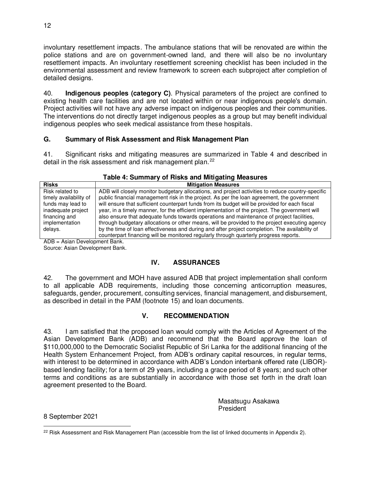involuntary resettlement impacts. The ambulance stations that will be renovated are within the police stations and are on government-owned land, and there will also be no involuntary resettlement impacts. An involuntary resettlement screening checklist has been included in the environmental assessment and review framework to screen each subproject after completion of detailed designs.

40. **Indigenous peoples (category C)**. Physical parameters of the project are confined to existing health care facilities and are not located within or near indigenous people's domain. Project activities will not have any adverse impact on indigenous peoples and their communities. The interventions do not directly target indigenous peoples as a group but may benefit individual indigenous peoples who seek medical assistance from these hospitals.

### **G. Summary of Risk Assessment and Risk Management Plan**

41. Significant risks and mitigating measures are summarized in Table 4 and described in detail in the risk assessment and risk management plan.<sup>22</sup>

| Table 4: Summary of Risks and Mitigating Measures |  |  |  |
|---------------------------------------------------|--|--|--|
|---------------------------------------------------|--|--|--|

| <b>Risks</b>                                                                                          | <b>Mitigation Measures</b>                                                                                                                                                                                                                                                                                                                                                                                                                                                                       |
|-------------------------------------------------------------------------------------------------------|--------------------------------------------------------------------------------------------------------------------------------------------------------------------------------------------------------------------------------------------------------------------------------------------------------------------------------------------------------------------------------------------------------------------------------------------------------------------------------------------------|
| Risk related to<br>timely availability of<br>funds may lead to<br>inadequate project<br>financing and | ADB will closely monitor budgetary allocations, and project activities to reduce country-specific<br>public financial management risk in the project. As per the loan agreement, the government<br>will ensure that sufficient counterpart funds from its budget will be provided for each fiscal<br>year, in a timely manner, for the efficient implementation of the project. The government will<br>also ensure that adequate funds towards operations and maintenance of project facilities. |
| implementation<br>delays.                                                                             | through budgetary allocations or other means, will be provided to the project executing agency<br>by the time of loan effectiveness and during and after project completion. The availability of<br>counterpart financing will be monitored regularly through quarterly progress reports.                                                                                                                                                                                                        |

ADB = Asian Development Bank.

Source: Asian Development Bank.

# **IV. ASSURANCES**

42. The government and MOH have assured ADB that project implementation shall conform to all applicable ADB requirements, including those concerning anticorruption measures, safeguards, gender, procurement, consulting services, financial management, and disbursement, as described in detail in the PAM (footnote 15) and loan documents.

# **V. RECOMMENDATION**

43. I am satisfied that the proposed loan would comply with the Articles of Agreement of the Asian Development Bank (ADB) and recommend that the Board approve the loan of \$110,000,000 to the Democratic Socialist Republic of Sri Lanka for the additional financing of the Health System Enhancement Project, from ADB's ordinary capital resources, in regular terms, with interest to be determined in accordance with ADB's London interbank offered rate (LIBOR) based lending facility; for a term of 29 years, including a grace period of 8 years; and such other terms and conditions as are substantially in accordance with those set forth in the draft loan agreement presented to the Board.

> Masatsugu Asakawa President

8 September 2021

<sup>12</sup>

 $22$  Risk Assessment and Risk Management Plan (accessible from the list of linked documents in Appendix 2).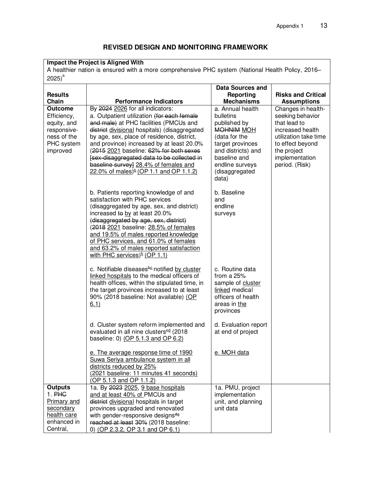# **REVISED DESIGN AND MONITORING FRAMEWORK**

#### **Impact the Project is Aligned With**

A healthier nation is ensured with a more comprehensive PHC system (National Health Policy, 2016–  $2025)^a$ 

|                                                                                                         |                                                                                                                                                                                                                                                                                                                                                                                                                                                               | <b>Data Sources and</b>                                                                                                                                                              |                                                                                                                                                                            |
|---------------------------------------------------------------------------------------------------------|---------------------------------------------------------------------------------------------------------------------------------------------------------------------------------------------------------------------------------------------------------------------------------------------------------------------------------------------------------------------------------------------------------------------------------------------------------------|--------------------------------------------------------------------------------------------------------------------------------------------------------------------------------------|----------------------------------------------------------------------------------------------------------------------------------------------------------------------------|
| <b>Results</b>                                                                                          |                                                                                                                                                                                                                                                                                                                                                                                                                                                               | Reporting                                                                                                                                                                            | <b>Risks and Critical</b>                                                                                                                                                  |
| Chain                                                                                                   | <b>Performance Indicators</b>                                                                                                                                                                                                                                                                                                                                                                                                                                 | <b>Mechanisms</b>                                                                                                                                                                    | <b>Assumptions</b>                                                                                                                                                         |
| <b>Outcome</b><br>Efficiency,<br>equity, and<br>responsive-<br>ness of the<br>PHC system<br>improved    | By 2024 2026 for all indicators:<br>a. Outpatient utilization (for each female<br>and male) at PHC facilities (PMCUs and<br>district divisional hospitals) (disaggregated<br>by age, sex, place of residence, district,<br>and province) increased by at least 20.0%<br>(2015 2021 baseline: 62% for both sexes<br>[sex-disaggregated data to be collected in<br>baseline survey] 28.4% of females and<br>22.0% of males) $\frac{b}{c}$ (OP 1.1 and OP 1.1.2) | a. Annual health<br>bulletins<br>published by<br>MOHNIM MOH<br>(data for the<br>target provinces<br>and districts) and<br>baseline and<br>endline surveys<br>(disaggregated<br>data) | Changes in health-<br>seeking behavior<br>that lead to<br>increased health<br>utilization take time<br>to effect beyond<br>the project<br>implementation<br>period. (Risk) |
|                                                                                                         | b. Patients reporting knowledge of and<br>satisfaction with PHC services<br>(disaggregated by age, sex, and district)<br>increased to by at least 20.0%<br>(disaggregated by age, sex, district)<br>(2018 2021 baseline: 28.5% of females<br>and 19.5% of males reported knowledge<br>of PHC services, and 61.0% of females<br>and 63.2% of males reported satisfaction<br>with PHC services) $b$ (OP 1.1)                                                    | b. Baseline<br>and<br>endline<br>surveys                                                                                                                                             |                                                                                                                                                                            |
|                                                                                                         | c. Notifiable diseases <sup>be</sup> notified by cluster<br>linked hospitals to the medical officers of<br>health offices, within the stipulated time, in<br>the target provinces increased to at least<br>90% (2018 baseline: Not available) (OP<br>6.1)                                                                                                                                                                                                     | c. Routine data<br>from a 25%<br>sample of cluster<br>linked medical<br>officers of health<br>areas in the<br>provinces                                                              |                                                                                                                                                                            |
|                                                                                                         | d. Cluster system reform implemented and<br>evaluated in all nine clusters <sup>ed</sup> (2018<br>baseline: 0) (OP 5.1.3 and OP 6.2)                                                                                                                                                                                                                                                                                                                          | d. Evaluation report<br>at end of project                                                                                                                                            |                                                                                                                                                                            |
|                                                                                                         | e. The average response time of 1990<br>Suwa Seriya ambulance system in all<br>districts reduced by 25%<br>(2021 baseline: 11 minutes 41 seconds)<br>(OP 5.1.3 and OP 1.1.2)                                                                                                                                                                                                                                                                                  | e. MOH data                                                                                                                                                                          |                                                                                                                                                                            |
| <b>Outputs</b><br>$1.$ PHC<br><b>Primary and</b><br>secondary<br>health care<br>enhanced in<br>Central, | 1a. By 2023 2025, 9 base hospitals<br>and at least 40% of PMCUs and<br>district divisional hospitals in target<br>provinces upgraded and renovated<br>with gender-responsive designs <sup>de</sup><br>reached at least 30% (2018 baseline:<br>0) (OP 2.3.2, OP 3.1 and OP 6.1)                                                                                                                                                                                | 1a. PMU, project<br>implementation<br>unit, and planning<br>unit data                                                                                                                |                                                                                                                                                                            |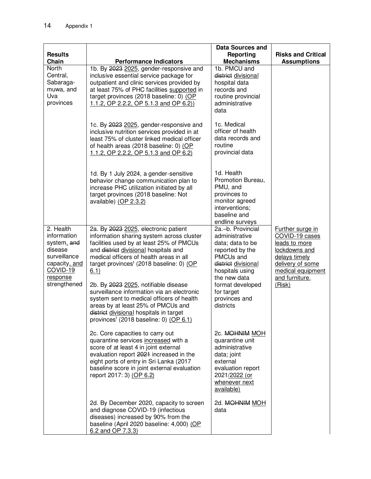|                                                                                                                                    |                                                                                                                                                                                                                                                                                                                                                                                                                                                                                                                                                             | <b>Data Sources and</b>                                                                                                                                                                                           |                                                                                                                                                            |
|------------------------------------------------------------------------------------------------------------------------------------|-------------------------------------------------------------------------------------------------------------------------------------------------------------------------------------------------------------------------------------------------------------------------------------------------------------------------------------------------------------------------------------------------------------------------------------------------------------------------------------------------------------------------------------------------------------|-------------------------------------------------------------------------------------------------------------------------------------------------------------------------------------------------------------------|------------------------------------------------------------------------------------------------------------------------------------------------------------|
| <b>Results</b><br>Chain                                                                                                            | <b>Performance Indicators</b>                                                                                                                                                                                                                                                                                                                                                                                                                                                                                                                               | Reporting<br><b>Mechanisms</b>                                                                                                                                                                                    | <b>Risks and Critical</b><br><b>Assumptions</b>                                                                                                            |
| North<br>Central,<br>Sabaraga-<br>muwa, and<br>Uva<br>provinces                                                                    | 1b. By 2023 2025, gender-responsive and<br>inclusive essential service package for<br>outpatient and clinic services provided by<br>at least 75% of PHC facilities supported in<br>target provinces (2018 baseline: 0) (OP<br>1.1.2, OP 2.2.2, OP 5.1.3 and OP 6.2)                                                                                                                                                                                                                                                                                         | 1b. PMCU and<br>district divisional<br>hospital data<br>records and<br>routine provincial<br>administrative<br>data                                                                                               |                                                                                                                                                            |
|                                                                                                                                    | 1c. By 2023 2025, gender-responsive and<br>inclusive nutrition services provided in at<br>least 75% of cluster linked medical officer<br>of health areas (2018 baseline: 0) (OP<br>1.1.2, OP 2.2.2, OP 5.1.3 and OP 6.2)                                                                                                                                                                                                                                                                                                                                    | 1c. Medical<br>officer of health<br>data records and<br>routine<br>provincial data                                                                                                                                |                                                                                                                                                            |
|                                                                                                                                    | 1d. By 1 July 2024, a gender-sensitive<br>behavior change communication plan to<br>increase PHC utilization initiated by all<br>target provinces (2018 baseline: Not<br>available) (OP 2.3.2)                                                                                                                                                                                                                                                                                                                                                               | 1d. Health<br>Promotion Bureau,<br>PMU, and<br>provinces to<br>monitor agreed<br>interventions;<br>baseline and<br>endline surveys                                                                                |                                                                                                                                                            |
| 2. Health<br>information<br>system, and<br>disease<br>surveillance<br>capacity, and<br><b>COVID-19</b><br>response<br>strengthened | 2a. By 2023 2025, electronic patient<br>information sharing system across cluster<br>facilities used by at least 25% of PMCUs<br>and district divisional hospitals and<br>medical officers of health areas in all<br>target provinces <sup>f</sup> (2018 baseline: 0) (OP<br>6.1)<br>2b. By 2023 2025, notifiable disease<br>surveillance information via an electronic<br>system sent to medical officers of health<br>areas by at least 25% of PMCUs and<br>district divisional hospitals in target<br>provinces <sup>f</sup> (2018 baseline: 0) (OP 6.1) | 2a.-b. Provincial<br>administrative<br>data; data to be<br>reported by the<br>PMCUs and<br>district divisional<br>hospitals using<br>the new data<br>format developed<br>for target<br>provinces and<br>districts | Further surge in<br>COVID-19 cases<br>leads to more<br>lockdowns and<br>delays timely<br>delivery of some<br>medical equipment<br>and furniture.<br>(Risk) |
|                                                                                                                                    | 2c. Core capacities to carry out<br>quarantine services increased with a<br>score of at least 4 in joint external<br>evaluation report 2021 increased in the<br>eight ports of entry in Sri Lanka (2017<br>baseline score in joint external evaluation<br>report 2017: 3) (OP 6.2)                                                                                                                                                                                                                                                                          | 2c. MOHNIM MOH<br>quarantine unit<br>administrative<br>data; joint<br>external<br>evaluation report<br>2021/2022 (or<br>whenever next<br>available)                                                               |                                                                                                                                                            |
|                                                                                                                                    | 2d. By December 2020, capacity to screen<br>and diagnose COVID-19 (infectious<br>diseases) increased by 90% from the<br>baseline (April 2020 baseline: 4,000) (OP<br>6.2 and OP 7.3.3)                                                                                                                                                                                                                                                                                                                                                                      | 2d. MOHNIM MOH<br>data                                                                                                                                                                                            |                                                                                                                                                            |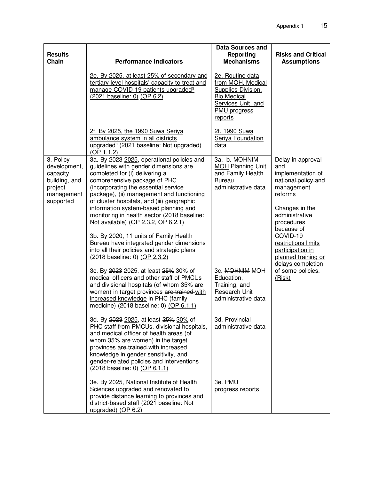| <b>Results</b><br>Chain                                                                      | <b>Performance Indicators</b>                                                                                                                                                                                                                                                                                                                                                                                                                                                                                                                                                                                                                                                                                                                                                                                                                                                                                                                                                                       | Data Sources and<br>Reporting<br><b>Mechanisms</b>                                                                                                                                                                                              | <b>Risks and Critical</b><br><b>Assumptions</b>                                                                                                                                                                                                                                                        |
|----------------------------------------------------------------------------------------------|-----------------------------------------------------------------------------------------------------------------------------------------------------------------------------------------------------------------------------------------------------------------------------------------------------------------------------------------------------------------------------------------------------------------------------------------------------------------------------------------------------------------------------------------------------------------------------------------------------------------------------------------------------------------------------------------------------------------------------------------------------------------------------------------------------------------------------------------------------------------------------------------------------------------------------------------------------------------------------------------------------|-------------------------------------------------------------------------------------------------------------------------------------------------------------------------------------------------------------------------------------------------|--------------------------------------------------------------------------------------------------------------------------------------------------------------------------------------------------------------------------------------------------------------------------------------------------------|
|                                                                                              | 2e. By 2025, at least 25% of secondary and<br>tertiary level hospitals' capacity to treat and<br>manage COVID-19 patients upgraded <sup>9</sup><br>(2021 baseline: 0) (OP 6.2)                                                                                                                                                                                                                                                                                                                                                                                                                                                                                                                                                                                                                                                                                                                                                                                                                      | 2e. Routine data<br>from MOH, Medical<br>Supplies Division,<br><b>Bio Medical</b><br>Services Unit, and<br>PMU progress<br>reports                                                                                                              |                                                                                                                                                                                                                                                                                                        |
|                                                                                              | 2f. By 2025, the 1990 Suwa Seriya<br>ambulance system in all districts<br>upgraded <sup>h</sup> (2021 baseline: Not upgraded)<br>(OP 1.1.2)                                                                                                                                                                                                                                                                                                                                                                                                                                                                                                                                                                                                                                                                                                                                                                                                                                                         | 2f. 1990 Suwa<br>Seriya Foundation<br>data                                                                                                                                                                                                      |                                                                                                                                                                                                                                                                                                        |
| 3. Policy<br>development,<br>capacity<br>building, and<br>project<br>management<br>supported | 3a. By 2023 2025, operational policies and<br>guidelines with gender dimensions are<br>completed for (i) delivering a<br>comprehensive package of PHC<br>(incorporating the essential service<br>package), (ii) management and functioning<br>of cluster hospitals, and (iii) geographic<br>information system-based planning and<br>monitoring in health sector (2018 baseline:<br>Not available) (OP 2.3.2, OP 6.2.1)<br>3b. By 2020, 11 units of Family Health<br>Bureau have integrated gender dimensions<br>into all their policies and strategic plans<br>(2018 baseline: 0) (OP 2.3.2)<br>3c. By 2023 2025, at least 25% 30% of<br>medical officers and other staff of PMCUs<br>and divisional hospitals (of whom 35% are<br>women) in target provinces are trained-with<br>increased knowledge in PHC (family<br>medicine) (2018 baseline: 0) (OP 6.1.1)<br>3d. By 2023 2025, at least 25% 30% of<br>PHC staff from PMCUs, divisional hospitals,<br>and medical officer of health areas (of | 3a.-b. MOHNIM<br><b>MOH</b> Planning Unit<br>and Family Health<br><b>Bureau</b><br>administrative data<br>3c. MOHNIM MOH<br>Education,<br>Training, and<br><b>Research Unit</b><br>administrative data<br>3d. Provincial<br>administrative data | Delay in approval<br>and<br>implementation of<br>national policy and<br>management<br>reforms<br>Changes in the<br>administrative<br>procedures<br>because of<br><b>COVID-19</b><br>restrictions limits<br>participation in<br>planned training or<br>delays completion<br>of some policies.<br>(Risk) |
|                                                                                              | whom 35% are women) in the target<br>provinces are trained with increased<br>knowledge in gender sensitivity, and<br>gender-related policies and interventions<br>(2018 baseline: 0) (OP 6.1.1)<br>3e. By 2025, National Institute of Health                                                                                                                                                                                                                                                                                                                                                                                                                                                                                                                                                                                                                                                                                                                                                        | 3e. PMU                                                                                                                                                                                                                                         |                                                                                                                                                                                                                                                                                                        |
|                                                                                              | Sciences upgraded and renovated to<br>provide distance learning to provinces and<br>district-based staff (2021 baseline: Not<br>upgraded) (OP 6.2)                                                                                                                                                                                                                                                                                                                                                                                                                                                                                                                                                                                                                                                                                                                                                                                                                                                  | progress reports                                                                                                                                                                                                                                |                                                                                                                                                                                                                                                                                                        |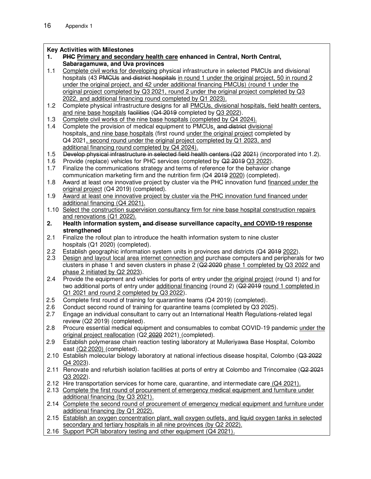#### **Key Activities with Milestones**

**1. PHC Primary and secondary health care enhanced in Central, North Central, Sabaragamuwa, and Uva provinces**

1.1 Complete civil works for developing physical infrastructure in selected PMCUs and divisional hospitals (43 PMCUs and district hospitals in round 1 under the original project, 50 in round 2 under the original project, and 42 under additional financing PMCUs) (round 1 under the original project completed by Q3 2021, round 2 under the original project completed by Q3 2022, and additional financing round completed by Q1 2023).

- 1.2 Complete physical infrastructure designs for all PMCUs, divisional hospitals, field health centers, and nine base hospitals facilities (Q4-2019 completed by Q3 2022).
- 1.3 Complete civil works of the nine base hospitals (completed by Q4 2024).
- 1.4 Complete the provision of medical equipment to PMCUs, and district divisional hospitals, and nine base hospitals (first round under the original project completed by Q4 2021, second round under the original project completed by Q1 2023, and additional financing round completed by Q4 2024).
- 1.5 Develop physical infrastructure in selected field health centers (Q2 2021) (incorporated into 1.2).
- 1.6 Provide (replace) vehicles for PHC services (completed by Q2 2019 Q3 2022).
- 1.7 Finalize the communications strategy and terms of reference for the behavior change communication marketing firm and the nutrition firm (Q4 2019 2020) (completed).
- 1.8 Award at least one innovative project by cluster via the PHC innovation fund financed under the original project (Q4 2019) (completed).
- 1.9 Award at least one innovative project by cluster via the PHC innovation fund financed under additional financing (Q4 2021).
- 1.10 Select the construction supervision consultancy firm for nine base hospital construction repairs and renovations (Q1 2022).
- **2. Health information system, and disease surveillance capacity, and COVID-19 response strengthened**
- 2.1 Finalize the rollout plan to introduce the health information system to nine cluster hospitals (Q1 2020) (completed).
- 2.2 Establish geographic information system units in provinces and districts (Q4 2019 2022).
- 2.3 Design and layout local area internet connection and purchase computers and peripherals for two clusters in phase 1 and seven clusters in phase  $2 (Q22Q2Q)$  phase 1 completed by Q3 2022 and phase 2 initiated by Q2 2023).
- 2.4 Provide the equipment and vehicles for ports of entry under the original project (round 1) and for two additional ports of entry under additional financing (round 2) (Q2 2019 round 1 completed in Q1 2021 and round 2 completed by Q3 2022).
- 2.5 Complete first round of training for quarantine teams (Q4 2019) (completed).
- 2.6 Conduct second round of training for quarantine teams (completed by Q3 2025).
- 2.7 Engage an individual consultant to carry out an International Health Regulations-related legal review (Q2 2019) (completed).
- 2.8 Procure essential medical equipment and consumables to combat COVID-19 pandemic under the original project reallocation (Q2 2020 2021) (completed).
- 2.9 Establish polymerase chain reaction testing laboratory at Mulleriyawa Base Hospital, Colombo east (Q2 2020) (completed).
- 2.10 Establish molecular biology laboratory at national infectious disease hospital, Colombo (Q3 2022) Q4 2023).
- 2.11 Renovate and refurbish isolation facilities at ports of entry at Colombo and Trincomalee (Q2 2021 Q3 2022).
- 2.12 Hire transportation services for home care, quarantine, and intermediate care (Q4 2021).
- 2.13 Complete the first round of procurement of emergency medical equipment and furniture under additional financing (by Q3 2021).
- 2.14 Complete the second round of procurement of emergency medical equipment and furniture under additional financing (by Q1 2022).
- 2.15 Establish an oxygen concentration plant, wall oxygen outlets, and liquid oxygen tanks in selected secondary and tertiary hospitals in all nine provinces (by Q2 2022).
- 2.16 Support PCR laboratory testing and other equipment (Q4 2021).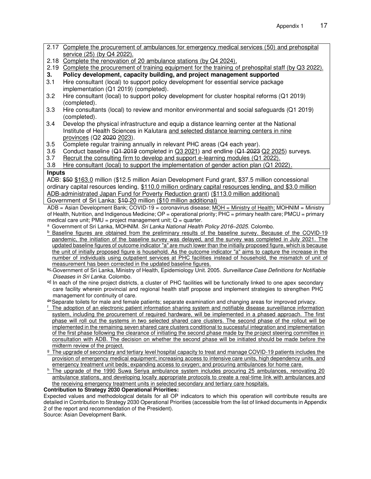- 2.17 Complete the procurement of ambulances for emergency medical services (50) and prehospital service (25) (by Q4 2022). 2.18 Complete the renovation of 20 ambulance stations (by Q4 2024). 2.19 Complete the procurement of training equipment for the training of prehospital staff (by Q3 2022). **3. Policy development, capacity building, and project management supported** 3.1 Hire consultant (local) to support policy development for essential service package implementation (Q1 2019) (completed). 3.2 Hire consultant (local) to support policy development for cluster hospital reforms (Q1 2019) (completed). 3.3 Hire consultants (local) to review and monitor environmental and social safeguards (Q1 2019) (completed). 3.4 Develop the physical infrastructure and equip a distance learning center at the National Institute of Health Sciences in Kalutara and selected distance learning centers in nine provinces (Q2 2020 2023).
- 3.5 Complete regular training annually in relevant PHC areas (Q4 each year).
- 3.6 Conduct baseline (Q1 2019 completed in Q3 2021) and endline (Q1 2023 Q2 2025) surveys.
- 3.7 Recruit the consulting firm to develop and support e-learning modules (Q1 2022).
- 3.8 Hire consultant (local) to support the implementation of gender action plan (Q1 2022).

#### **Inputs**

ADB: \$50 \$163.0 million (\$12.5 million Asian Development Fund grant, \$37.5 million concessional ordinary capital resources lending, \$110.0 million ordinary capital resources lending, and \$3.0 million ADB-administrated Japan Fund for Poverty Reduction grant) (\$113.0 million additional) Government of Sri Lanka: \$10 20 million (\$10 million additional)

ADB = Asian Development Bank; COVID-19 = coronavirus disease; MOH = Ministry of Health; MOHNIM = Ministry of Health, Nutrition, and Indigenous Medicine; OP = operational priority; PHC = primary health care; PMCU = primary medical care unit;  $PMU = project management unit; Q = quarter$ .

<sup>a</sup> Government of Sri Lanka, MOHNIM. *Sri Lanka National Health Policy 2016–2025.* Colombo.

- **b** Baseline figures are obtained from the preliminary results of the baseline survey. Because of the COVID-19 pandemic, the initiation of the baseline survey was delayed, and the survey was completed in July 2021. The updated baseline figures of outcome indicator "a" are much lower than the initially proposed figure, which is because the unit of initially proposed figure is household. As the outcome indicator "a" aims to capture the increase in the number of individuals using outpatient services at PHC facilities instead of household, the mismatch of unit of measurement has been corrected in the updated baseline figures.
- bc Government of Sri Lanka, Ministry of Health, Epidemiology Unit. 2005. *Surveillance Case Definitions for Notifiable Diseases in Sri Lanka.* Colombo.
- ed In each of the nine project districts, a cluster of PHC facilities will be functionally linked to one apex secondary care facility wherein provincial and regional health staff propose and implement strategies to strengthen PHC management for continuity of care.

de Separate toilets for male and female patients; separate examination and changing areas for improved privacy.

- <sup>f</sup> The adoption of an electronic patient information sharing system and notifiable disease surveillance information system, including the procurement of required hardware, will be implemented in a phased approach. The first phase will roll out the systems in two selected shared care clusters. The second phase of the rollout will be implemented in the remaining seven shared care clusters conditional to successful integration and implementation of the first phase following the clearance of initiating the second phase made by the project steering committee in consultation with ADB. The decision on whether the second phase will be initiated should be made before the midterm review of the project.
- <sup>g</sup> The upgrade of secondary and tertiary level hospital capacity to treat and manage COVID-19 patients includes the provision of emergency medical equipment; increasing access to intensive care units, high dependency units, and emergency treatment unit beds; expanding access to oxygen; and procuring ambulances for home care.
- $h$  The upgrade of the 1990 Suwa Seriya ambulance system includes procuring 25 ambulances, renovating 20 ambulance stations, and developing locally appropriate protocols to create a real-time link with ambulances and the receiving emergency treatment units in selected secondary and tertiary care hospitals.

#### **Contribution to Strategy 2030 Operational Priorities:**

Expected values and methodological details for all OP indicators to which this operation will contribute results are detailed in Contribution to Strategy 2030 Operational Priorities (accessible from the list of linked documents in Appendix 2 of the report and recommendation of the President).

Source: Asian Development Bank.